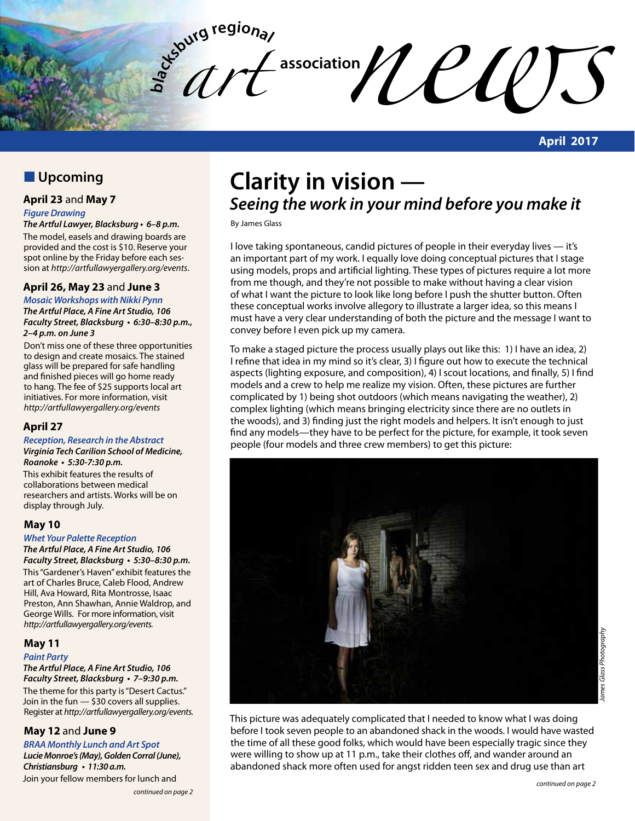**bla** *art*   $\mathcal{U}$ 

**April 2017**

# **N** Upcoming

#### **April 23** and **May 7**

#### *Figure Drawing*

**The Artful Lawyer, Blacksburg • 6–8 p.m.** The model, easels and drawing boards are provided and the cost is \$10. Reserve your spot online by the Friday before each session at *http://artfullawyergallery.org/events*.

#### **April 26, May 23** and **June 3**

**Mosaic Workshops with Nikki Pynn The Artful Place, A Fine Art Studio, 106 Faculty Street, Blacksburg • 6:30–8:30 p.m., 2–4 p.m. on June 3**

Don't miss one of these three opportunities to design and create mosaics. The stained glass will be prepared for safe handling and finished pieces will go home ready to hang. The fee of \$25 supports local art initiatives. For more information, visit *http://artfullawyergallery.org/events*

#### **April 27**

#### **Reception, Research in the Abstract**

**Virginia Tech Carilion School of Medicine, Roanoke • 5:30-7:30 p.m.**

This exhibit features the results of collaborations between medical researchers and artists. Works will be on display through July.

#### **May 10**

#### **Whet Your Palette Reception**

**The Artful Place, A Fine Art Studio, 106 Faculty Street, Blacksburg • 5:30–8:30 p.m.** This "Gardener's Haven" exhibit features the

art of Charles Bruce, Caleb Flood, Andrew Hill, Ava Howard, Rita Montrosse, Isaac Preston, Ann Shawhan, Annie Waldrop, and George Wills. For more information, visit *http://artfullawyergallery.org/events.*

#### **May 11**

#### **Paint Party**

**The Artful Place, A Fine Art Studio, 106 Faculty Street, Blacksburg • 7–9:30 p.m.** The theme for this party is "Desert Cactus."

Join in the fun — \$30 covers all supplies. Register at *http://artfullawyergallery.org/events.*

#### **May 12** and **June 9**

**BRAA Monthly Lunch and Art Spot Lucie Monroe's (May), Golden Corral (June), Christiansburg • 11:30 a.m.** Join your fellow members for lunch and

# **Clarity in vision — Seeing the work in your mind before you make it**

By James Glass

I love taking spontaneous, candid pictures of people in their everyday lives — it's an important part of my work. I equally love doing conceptual pictures that I stage using models, props and artificial lighting. These types of pictures require a lot more from me though, and they're not possible to make without having a clear vision of what I want the picture to look like long before I push the shutter button. Often these conceptual works involve allegory to illustrate a larger idea, so this means I must have a very clear understanding of both the picture and the message I want to convey before I even pick up my camera.

To make a staged picture the process usually plays out like this: 1) I have an idea, 2) I refine that idea in my mind so it's clear, 3) I figure out how to execute the technical aspects (lighting exposure, and composition), 4) I scout locations, and finally, 5) I find models and a crew to help me realize my vision. Often, these pictures are further complicated by 1) being shot outdoors (which means navigating the weather), 2) complex lighting (which means bringing electricity since there are no outlets in the woods), and 3) finding just the right models and helpers. It isn't enough to just find any models—they have to be perfect for the picture, for example, it took seven people (four models and three crew members) to get this picture:



This picture was adequately complicated that I needed to know what I was doing before I took seven people to an abandoned shack in the woods. I would have wasted the time of all these good folks, which would have been especially tragic since they were willing to show up at 11 p.m., take their clothes off, and wander around an abandoned shack more often used for angst ridden teen sex and drug use than art

*continued on page 2*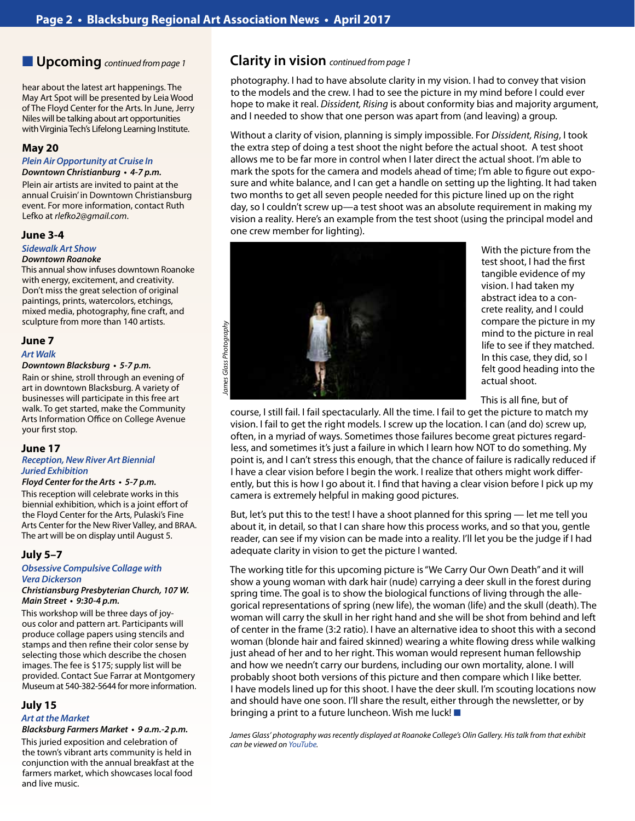hear about the latest art happenings. The May Art Spot will be presented by Leia Wood of The Floyd Center for the Arts. In June, Jerry Niles will be talking about art opportunities with Virginia Tech's Lifelong Learning Institute.

#### **May 20**

### **Plein Air Opportunity at Cruise In**

**Downtown Christianburg • 4-7 p.m.**

Plein air artists are invited to paint at the annual Cruisin' in Downtown Christiansburg event. For more information, contact Ruth Lefko at *rlefko2@gmail.com*.

#### **June 3-4**

#### **Sidewalk Art Show**

#### *Downtown Roanoke*

This annual show infuses downtown Roanoke with energy, excitement, and creativity. Don't miss the great selection of original paintings, prints, watercolors, etchings, mixed media, photography, fine craft, and sculpture from more than 140 artists.

#### **June 7**

#### *Art Walk*

#### **Downtown Blacksburg • 5-7 p.m.**

Rain or shine, stroll through an evening of art in downtown Blacksburg. A variety of businesses will participate in this free art walk. To get started, make the Community Arts Information Office on College Avenue your first stop.

#### **June 17**

#### **Reception, New River Art Biennial Juried Exhibition**

#### **Floyd Center for the Arts • 5-7 p.m.**

This reception will celebrate works in this biennial exhibition, which is a joint effort of the Floyd Center for the Arts, Pulaski's Fine Arts Center for the New River Valley, and BRAA. The art will be on display until August 5.

#### **July 5–7**

#### **Obsessive Compulsive Collage with**  *Vera Dickerson*

**Christiansburg Presbyterian Church, 107 W. Main Street • 9:30-4 p.m.**

This workshop will be three days of joyous color and pattern art. Participants will produce collage papers using stencils and stamps and then refine their color sense by selecting those which describe the chosen images. The fee is \$175; supply list will be provided. Contact Sue Farrar at Montgomery Museum at 540-382-5644 for more information.

#### **July 15**

#### *Art at the Market*

#### **Blacksburg Farmers Market • 9 a.m.-2 p.m.**

This juried exposition and celebration of the town's vibrant arts community is held in conjunction with the annual breakfast at the farmers market, which showcases local food and live music.

## n **Upcoming** *continued from page 1* **Clarity in vision** *continued from page 1*

photography. I had to have absolute clarity in my vision. I had to convey that vision to the models and the crew. I had to see the picture in my mind before I could ever hope to make it real. *Dissident, Rising* is about conformity bias and majority argument, and I needed to show that one person was apart from (and leaving) a group.

Without a clarity of vision, planning is simply impossible. For *Dissident, Rising*, I took the extra step of doing a test shoot the night before the actual shoot. A test shoot allows me to be far more in control when I later direct the actual shoot. I'm able to mark the spots for the camera and models ahead of time; I'm able to figure out exposure and white balance, and I can get a handle on setting up the lighting. It had taken two months to get all seven people needed for this picture lined up on the right day, so I couldn't screw up—a test shoot was an absolute requirement in making my vision a reality. Here's an example from the test shoot (using the principal model and one crew member for lighting).



With the picture from the test shoot, I had the first tangible evidence of my vision. I had taken my abstract idea to a concrete reality, and I could compare the picture in my mind to the picture in real life to see if they matched. In this case, they did, so I felt good heading into the actual shoot.

This is all fine, but of

course, I still fail. I fail spectacularly. All the time. I fail to get the picture to match my vision. I fail to get the right models. I screw up the location. I can (and do) screw up, often, in a myriad of ways. Sometimes those failures become great pictures regardless, and sometimes it's just a failure in which I learn how NOT to do something. My point is, and I can't stress this enough, that the chance of failure is radically reduced if I have a clear vision before I begin the work. I realize that others might work differently, but this is how I go about it. I find that having a clear vision before I pick up my camera is extremely helpful in making good pictures.

But, let's put this to the test! I have a shoot planned for this spring — let me tell you about it, in detail, so that I can share how this process works, and so that you, gentle reader, can see if my vision can be made into a reality. I'll let you be the judge if I had adequate clarity in vision to get the picture I wanted.

The working title for this upcoming picture is "We Carry Our Own Death" and it will show a young woman with dark hair (nude) carrying a deer skull in the forest during spring time. The goal is to show the biological functions of living through the allegorical representations of spring (new life), the woman (life) and the skull (death). The woman will carry the skull in her right hand and she will be shot from behind and left of center in the frame (3:2 ratio). I have an alternative idea to shoot this with a second woman (blonde hair and faired skinned) wearing a white flowing dress while walking just ahead of her and to her right. This woman would represent human fellowship and how we needn't carry our burdens, including our own mortality, alone. I will probably shoot both versions of this picture and then compare which I like better. I have models lined up for this shoot. I have the deer skull. I'm scouting locations now and should have one soon. I'll share the result, either through the newsletter, or by bringing a print to a future luncheon. Wish me luck!

James Glass' photography was recently displayed at Roanoke College's Olin Gallery. His talk from that exhibit *can be viewed on [YouTube](https://www.youtube.com/watch?v=JyK4B4mzfSg&feature=em-upload_owner).*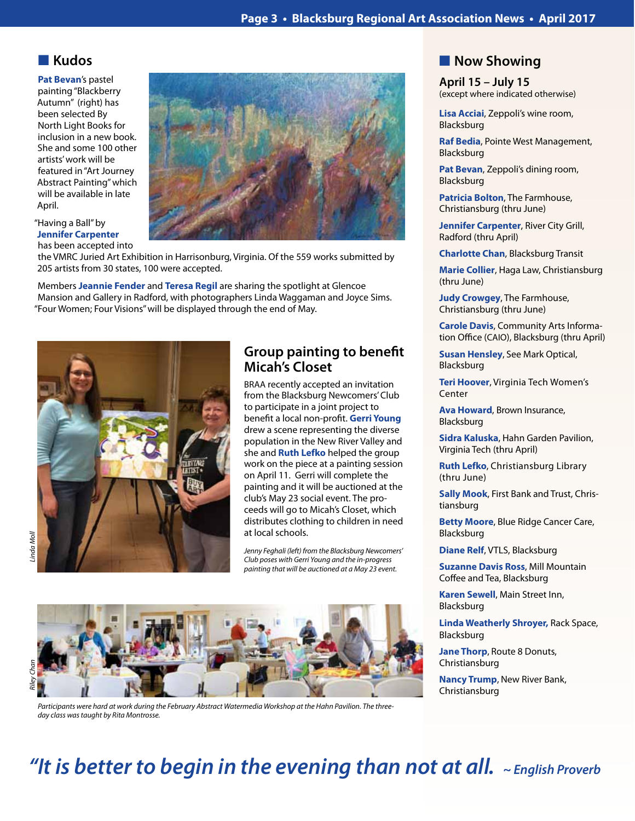# **N** Kudos

**Pat Bevan**'s pastel painting "Blackberry Autumn" (right) has been selected By North Light Books for inclusion in a new book. She and some 100 other artists' work will be featured in "Art Journey Abstract Painting" which will be available in late April.



"Having a Ball" by **Jennifer Carpenter** has been accepted into

the VMRC Juried Art Exhibition in Harrisonburg, Virginia. Of the 559 works submitted by 205 artists from 30 states, 100 were accepted.

Members **Jeannie Fender** and **Teresa Regil** are sharing the spotlight at Glencoe Mansion and Gallery in Radford, with photographers Linda Waggaman and Joyce Sims. "Four Women; Four Visions" will be displayed through the end of May.



# **Group painting to benefit Micah's Closet**

BRAA recently accepted an invitation from the Blacksburg Newcomers' Club to participate in a joint project to benefit a local non-profit. **Gerri Young** drew a scene representing the diverse population in the New River Valley and she and **Ruth Lefko** helped the group work on the piece at a painting session on April 11. Gerri will complete the painting and it will be auctioned at the club's May 23 social event. The proceeds will go to Micah's Closet, which distributes clothing to children in need at local schools.

*Jenny Feghali (left) from the Blacksburg Newcomers' Club poses with Gerri Young and the in-progress painting that will be auctioned at a May 23 event.*



*Participants were hard at work during the February Abstract Watermedia Workshop at the Hahn Pavilion. The threeday class was taught by Rita Montrosse.*

# **Now Showing**

**April 15 – July 15** (except where indicated otherwise)

**Lisa Acciai**, Zeppoli's wine room, Blacksburg

**Raf Bedia**, Pointe West Management, Blacksburg

**Pat Bevan**, Zeppoli's dining room, Blacksburg

**Patricia Bolton**, The Farmhouse, Christiansburg (thru June)

**Jennifer Carpenter**, River City Grill, Radford (thru April)

**Charlotte Chan**, Blacksburg Transit

**Marie Collier**, Haga Law, Christiansburg (thru June)

**Judy Crowgey**, The Farmhouse, Christiansburg (thru June)

**Carole Davis**, Community Arts Information Office (CAIO), Blacksburg (thru April)

**Susan Hensley**, See Mark Optical, Blacksburg

**Teri Hoover**, Virginia Tech Women's Center

**Ava Howard**, Brown Insurance, Blacksburg

**Sidra Kaluska**, Hahn Garden Pavilion, Virginia Tech (thru April)

**Ruth Lefko**, Christiansburg Library (thru June)

**Sally Mook**, First Bank and Trust, Christiansburg

**Betty Moore**, Blue Ridge Cancer Care, Blacksburg

**Diane Relf**, VTLS, Blacksburg

**Suzanne Davis Ross**, Mill Mountain Coffee and Tea, Blacksburg

**Karen Sewell**, Main Street Inn, Blacksburg

**Linda Weatherly Shroyer,** Rack Space, Blacksburg

**Jane Thorp**, Route 8 Donuts, Christiansburg

**Nancy Trump**, New River Bank, Christiansburg

# **"It is better to begin in the evening than not at all.** ~ English Proverb

inda Moll *Linda Moll*